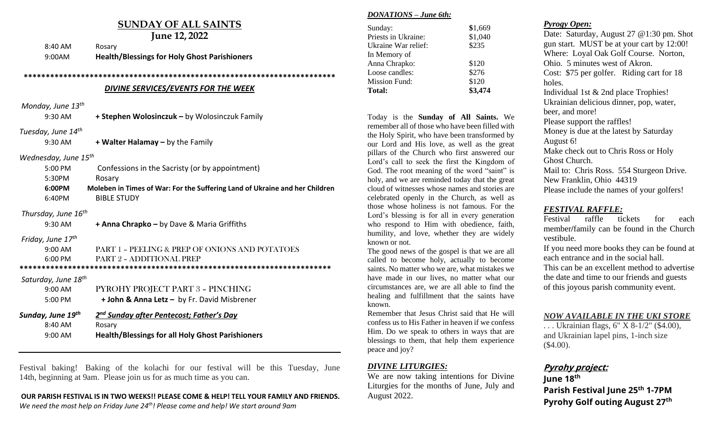# **SUNDAY OF ALL SAINTS**

| <b>June 12, 2022</b>                |                                                                             |  |
|-------------------------------------|-----------------------------------------------------------------------------|--|
| 8:40 AM                             | Rosary                                                                      |  |
| 9:00AM                              | <b>Health/Blessings for Holy Ghost Parishioners</b>                         |  |
|                                     |                                                                             |  |
|                                     |                                                                             |  |
| DIVINE SERVICES/EVENTS FOR THE WEEK |                                                                             |  |
| Monday, June 13 <sup>th</sup>       |                                                                             |  |
| 9:30 AM                             | + Stephen Wolosinczuk - by Wolosinczuk Family                               |  |
| Tuesday, June 14 <sup>th</sup>      |                                                                             |  |
| 9:30 AM                             | + Walter Halamay - by the Family                                            |  |
| Wednesday, June 15 <sup>th</sup>    |                                                                             |  |
| 5:00 PM                             | Confessions in the Sacristy (or by appointment)                             |  |
| 5:30PM                              | Rosary                                                                      |  |
| 6:00PM                              | Moleben in Times of War: For the Suffering Land of Ukraine and her Children |  |
| 6:40PM                              | <b>BIBLE STUDY</b>                                                          |  |
| Thursday, June 16 <sup>th</sup>     |                                                                             |  |
| 9:30 AM                             | + Anna Chrapko - by Dave & Maria Griffiths                                  |  |
|                                     |                                                                             |  |
| Friday, June 17th                   |                                                                             |  |
| $9:00 \text{ AM}$                   | PART 1 - PEELING & PREP OF ONIONS AND POTATOES                              |  |
| 6:00 PM                             | PART 2 - ADDITIONAL PREP                                                    |  |
|                                     |                                                                             |  |
| Saturday, June 18 <sup>th</sup>     |                                                                             |  |
| 9:00 AM                             | PYROHY PROJECT PART 3 - PINCHING                                            |  |
| 5:00 PM                             | + John & Anna Letz - by Fr. David Misbrener                                 |  |
| Sunday, June 19th                   | 2 <sup>nd</sup> Sunday after Pentecost; Father's Day                        |  |
| 8:40 AM                             | Rosary<br><b>Health/Blessings for all Holy Ghost Parishioners</b>           |  |

Festival baking! Baking of the kolachi for our festival will be this Tuesday, June 14th, beginning at 9am. Please join us for as much time as you can.

#### **OUR PARISH FESTIVAL IS IN TWO WEEKS!! PLEASE COME & HELP! TELL YOUR FAMILY AND FRIENDS.**

*We need the most help on Friday June 24th! Please come and help! We start around 9am* 

#### *DONATIONS – June 6th:*

| Sunday:             | \$1,669 |
|---------------------|---------|
| Priests in Ukraine: | \$1,040 |
| Ukraine War relief: | \$235   |
| In Memory of        |         |
| Anna Chrapko:       | \$120   |
| Loose candles:      | \$276   |
| Mission Fund:       | \$120   |
| <b>Total:</b>       | \$3,474 |
|                     |         |

Today is the **Sunday of All Saints.** We remember all of those who have been filled with the Holy Spirit, who have been transformed by our Lord and His love, as well as the great pillars of the Church who first answered our Lord's call to seek the first the Kingdom of God. The root meaning of the word "saint" is holy, and we are reminded today that the great cloud of witnesses whose names and stories are celebrated openly in the Church, as well as those whose holiness is not famous. For the Lord's blessing is for all in every generation who respond to Him with obedience, faith, humility, and love, whether they are widely known or not.

The good news of the gospel is that we are all called to become holy, actually to become saints. No matter who we are, what mistakes we have made in our lives, no matter what our circumstances are, we are all able to find the healing and fulfillment that the saints have known.

Remember that Jesus Christ said that He will confess us to His Father in heaven if we confess Him. Do we speak to others in ways that are blessings to them, that help them experience peace and joy?

### *DIVINE LITURGIES:*

We are now taking intentions for Divine Liturgies for the months of June, July and August 2022.

## *Pyrogy Open:*

Date: Saturday, August 27 @1:30 pm. Shot gun start. MUST be at your cart by 12:00! Where: Loyal Oak Golf Course. Norton, Ohio. 5 minutes west of Akron. Cost: \$75 per golfer. Riding cart for 18 holes. Individual 1st & 2nd place Trophies! Ukrainian delicious dinner, pop, water, beer, and more! Please support the raffles! Money is due at the latest by Saturday August 6! Make check out to Chris Ross or Holy Ghost Church. Mail to: Chris Ross. 554 Sturgeon Drive. New Franklin, Ohio 44319 Please include the names of your golfers!

## *FESTIVAL RAFFLE:*

Festival raffle tickets for each member**/**family can be found in the Church vestibule.

If you need more books they can be found at each entrance and in the social hall. This can be an excellent method to advertise the date and time to our friends and guests of this joyous parish community event.

#### *NOW AVAILABLE IN THE UKI STORE*

. . . Ukrainian flags, 6" X 8-1/2" (\$4.00), and Ukrainian lapel pins, 1-inch size (\$4.00).

# **Pyrohy project:**

June 18<sup>th</sup> **Parish Festival June 25th 1-7PM** Pyrohy Golf outing August 27<sup>th</sup>